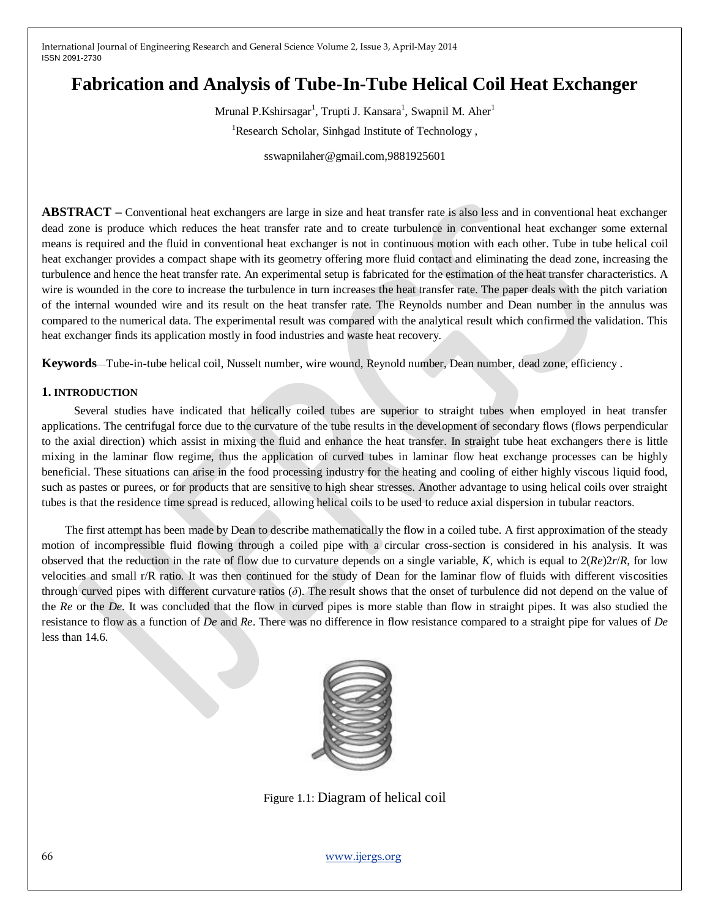# **Fabrication and Analysis of Tube-In-Tube Helical Coil Heat Exchanger**

Mrunal P.Kshirsagar<sup>1</sup>, Trupti J. Kansara<sup>1</sup>, Swapnil M. Aher<sup>1</sup> <sup>1</sup>Research Scholar, Sinhgad Institute of Technology,

sswapnilaher@gmail.com,9881925601

**ABSTRACT –** Conventional heat exchangers are large in size and heat transfer rate is also less and in conventional heat exchanger dead zone is produce which reduces the heat transfer rate and to create turbulence in conventional heat exchanger some external means is required and the fluid in conventional heat exchanger is not in continuous motion with each other. Tube in tube helical coil heat exchanger provides a compact shape with its geometry offering more fluid contact and eliminating the dead zone, increasing the turbulence and hence the heat transfer rate. An experimental setup is fabricated for the estimation of the heat transfer characteristics. A wire is wounded in the core to increase the turbulence in turn increases the heat transfer rate. The paper deals with the pitch variation of the internal wounded wire and its result on the heat transfer rate. The Reynolds number and Dean number in the annulus was compared to the numerical data. The experimental result was compared with the analytical result which confirmed the validation. This heat exchanger finds its application mostly in food industries and waste heat recovery.

**Keywords**—Tube-in-tube helical coil, Nusselt number, wire wound, Reynold number, Dean number, dead zone, efficiency .

## **1. INTRODUCTION**

 Several studies have indicated that helically coiled tubes are superior to straight tubes when employed in heat transfer applications. The centrifugal force due to the curvature of the tube results in the development of secondary flows (flows perpendicular to the axial direction) which assist in mixing the fluid and enhance the heat transfer. In straight tube heat exchangers there is little mixing in the laminar flow regime, thus the application of curved tubes in laminar flow heat exchange processes can be highly beneficial. These situations can arise in the food processing industry for the heating and cooling of either highly viscous liquid food, such as pastes or purees, or for products that are sensitive to high shear stresses. Another advantage to using helical coils over straight tubes is that the residence time spread is reduced, allowing helical coils to be used to reduce axial dispersion in tubular reactors.

 The first attempt has been made by Dean to describe mathematically the flow in a coiled tube. A first approximation of the steady motion of incompressible fluid flowing through a coiled pipe with a circular cross-section is considered in his analysis. It was observed that the reduction in the rate of flow due to curvature depends on a single variable, *K*, which is equal to 2(*Re*)2*r*/*R,* for low velocities and small r/R ratio. It was then continued for the study of Dean for the laminar flow of fluids with different viscosities through curved pipes with different curvature ratios (*δ*). The result shows that the onset of turbulence did not depend on the value of the *Re* or the *De*. It was concluded that the flow in curved pipes is more stable than flow in straight pipes. It was also studied the resistance to flow as a function of *De* and *Re*. There was no difference in flow resistance compared to a straight pipe for values of *De* less than 14.6.



Figure 1.1: Diagram of helical coil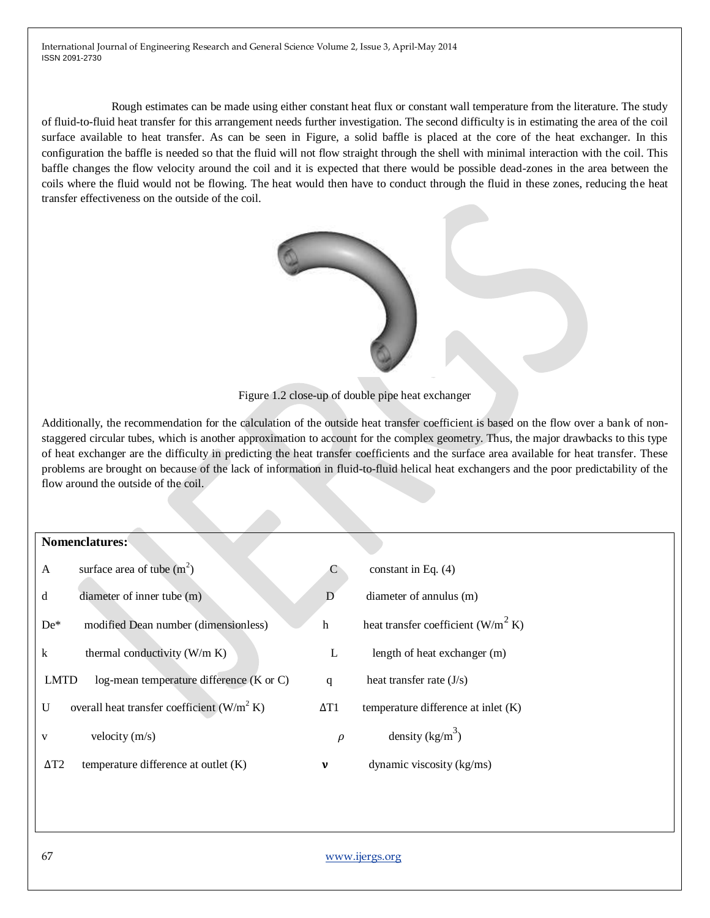Rough estimates can be made using either constant heat flux or constant wall temperature from the literature. The study of fluid-to-fluid heat transfer for this arrangement needs further investigation. The second difficulty is in estimating the area of the coil surface available to heat transfer. As can be seen in Figure, a solid baffle is placed at the core of the heat exchanger. In this configuration the baffle is needed so that the fluid will not flow straight through the shell with minimal interaction with the coil. This baffle changes the flow velocity around the coil and it is expected that there would be possible dead-zones in the area between the coils where the fluid would not be flowing. The heat would then have to conduct through the fluid in these zones, reducing the heat transfer effectiveness on the outside of the coil.



Figure 1.2 close-up of double pipe heat exchanger

Additionally, the recommendation for the calculation of the outside heat transfer coefficient is based on the flow over a bank of nonstaggered circular tubes, which is another approximation to account for the complex geometry. Thus, the major drawbacks to this type of heat exchanger are the difficulty in predicting the heat transfer coefficients and the surface area available for heat transfer. These problems are brought on because of the lack of information in fluid-to-fluid helical heat exchangers and the poor predictability of the flow around the outside of the coil.

#### **Nomenclatures:**

| $\mathsf{A}$ | surface area of tube $(m2)$                   | C           | constant in Eq. $(4)$                 |
|--------------|-----------------------------------------------|-------------|---------------------------------------|
| d            | diameter of inner tube (m)                    | D           | diameter of annulus (m)               |
| $De*$        | modified Dean number (dimensionless)          | h           | heat transfer coefficient $(W/m^2 K)$ |
| k            | thermal conductivity $(W/m K)$                | L           | length of heat exchanger (m)          |
| <b>LMTD</b>  | log-mean temperature difference (K or C)      | q           | heat transfer rate $(J/s)$            |
| U            | overall heat transfer coefficient $(W/m^2 K)$ | $\Delta T1$ | temperature difference at inlet $(K)$ |
| V            | velocity $(m/s)$                              | $\rho$      | density $(kg/m^3)$                    |
| $\Delta T2$  | temperature difference at outlet $(K)$        | ν           | dynamic viscosity (kg/ms)             |
|              |                                               |             |                                       |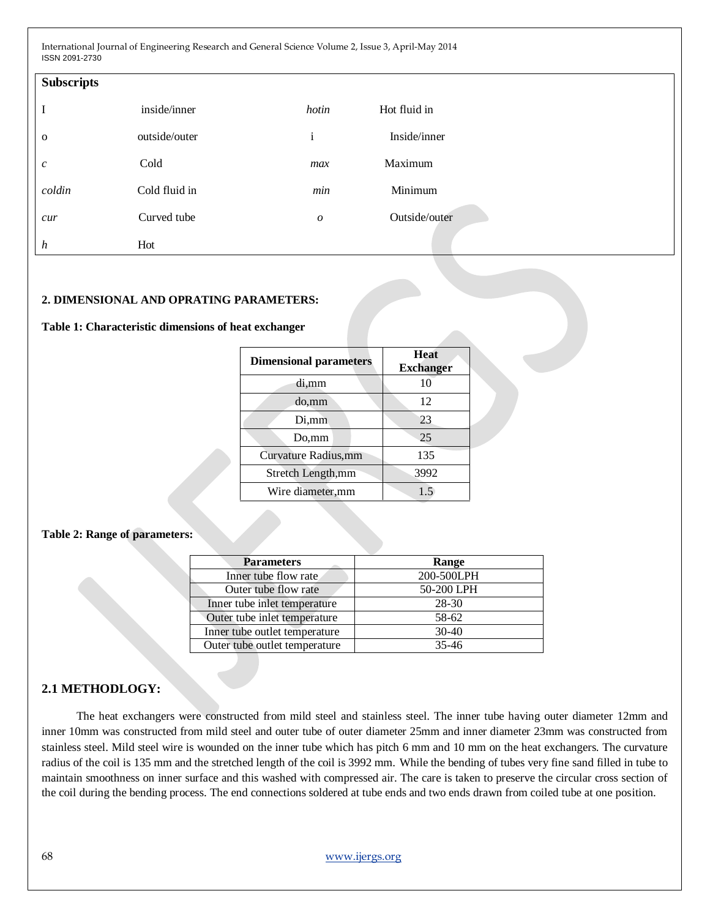| <b>Subscripts</b>           |               |                  |               |
|-----------------------------|---------------|------------------|---------------|
| I                           | inside/inner  | hotin            | Hot fluid in  |
| $\mathbf{o}$                | outside/outer | $\mathbf{i}$     | Inside/inner  |
| $\mathcal{C}_{\mathcal{C}}$ | Cold          | max              | Maximum       |
| coldin                      | Cold fluid in | min              | Minimum       |
| cur                         | Curved tube   | $\boldsymbol{o}$ | Outside/outer |
| $\boldsymbol{h}$            | Hot           |                  |               |

#### **2. DIMENSIONAL AND OPRATING PARAMETERS:**

#### **Table 1: Characteristic dimensions of heat exchanger**

| <b>Dimensional parameters</b> | <b>Heat</b><br><b>Exchanger</b> |
|-------------------------------|---------------------------------|
| di,mm                         | 10                              |
| do,mm                         | 12                              |
| Di,mm                         | 23                              |
| Do,mm                         | 25                              |
| Curvature Radius,mm           | 135                             |
| Stretch Length, mm            | 3992                            |
| Wire diameter,mm              | 1.5                             |

#### **Table 2: Range of parameters:**

| <b>Parameters</b>             | Range      |  |  |
|-------------------------------|------------|--|--|
| Inner tube flow rate          | 200-500LPH |  |  |
| Outer tube flow rate          | 50-200 LPH |  |  |
| Inner tube inlet temperature  | 28-30      |  |  |
| Outer tube inlet temperature  | 58-62      |  |  |
| Inner tube outlet temperature | $30-40$    |  |  |
| Outer tube outlet temperature | $35 - 46$  |  |  |

# **2.1 METHODLOGY:**

The heat exchangers were constructed from mild steel and stainless steel. The inner tube having outer diameter 12mm and inner 10mm was constructed from mild steel and outer tube of outer diameter 25mm and inner diameter 23mm was constructed from stainless steel. Mild steel wire is wounded on the inner tube which has pitch 6 mm and 10 mm on the heat exchangers. The curvature radius of the coil is 135 mm and the stretched length of the coil is 3992 mm. While the bending of tubes very fine sand filled in tube to maintain smoothness on inner surface and this washed with compressed air. The care is taken to preserve the circular cross section of the coil during the bending process. The end connections soldered at tube ends and two ends drawn from coiled tube at one position.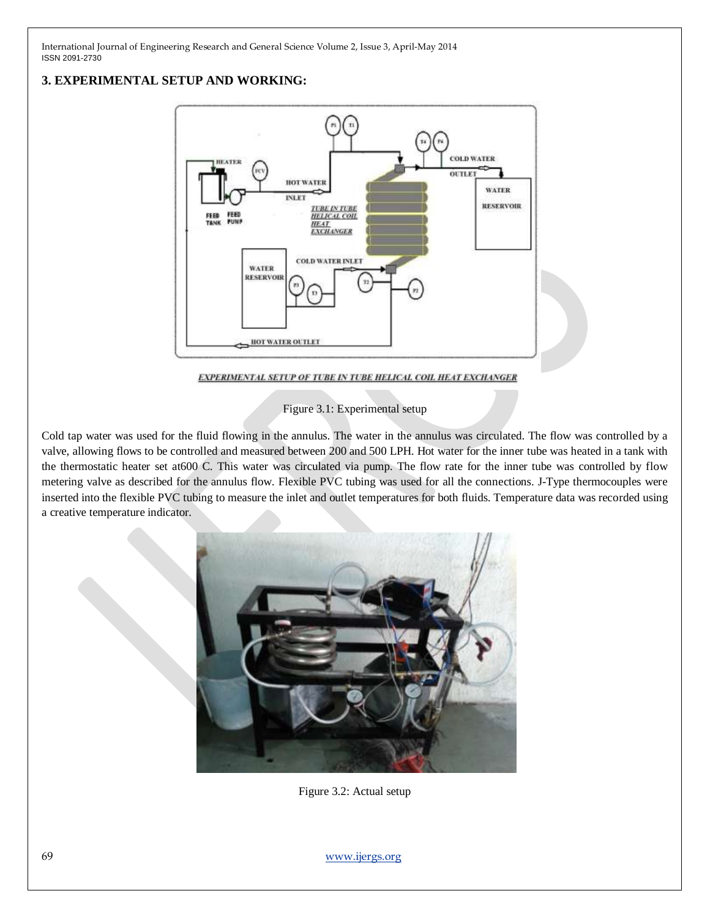# **3. EXPERIMENTAL SETUP AND WORKING:**



EXPERIMENTAL SETUP OF TUBE IN TUBE HELICAL COIL HEAT EXCHANGER

Figure 3.1: Experimental setup

Cold tap water was used for the fluid flowing in the annulus. The water in the annulus was circulated. The flow was controlled by a valve, allowing flows to be controlled and measured between 200 and 500 LPH. Hot water for the inner tube was heated in a tank with the thermostatic heater set at600 C. This water was circulated via pump. The flow rate for the inner tube was controlled by flow metering valve as described for the annulus flow. Flexible PVC tubing was used for all the connections. J-Type thermocouples were inserted into the flexible PVC tubing to measure the inlet and outlet temperatures for both fluids. Temperature data was recorded using a creative temperature indicator.



Figure 3.2: Actual setup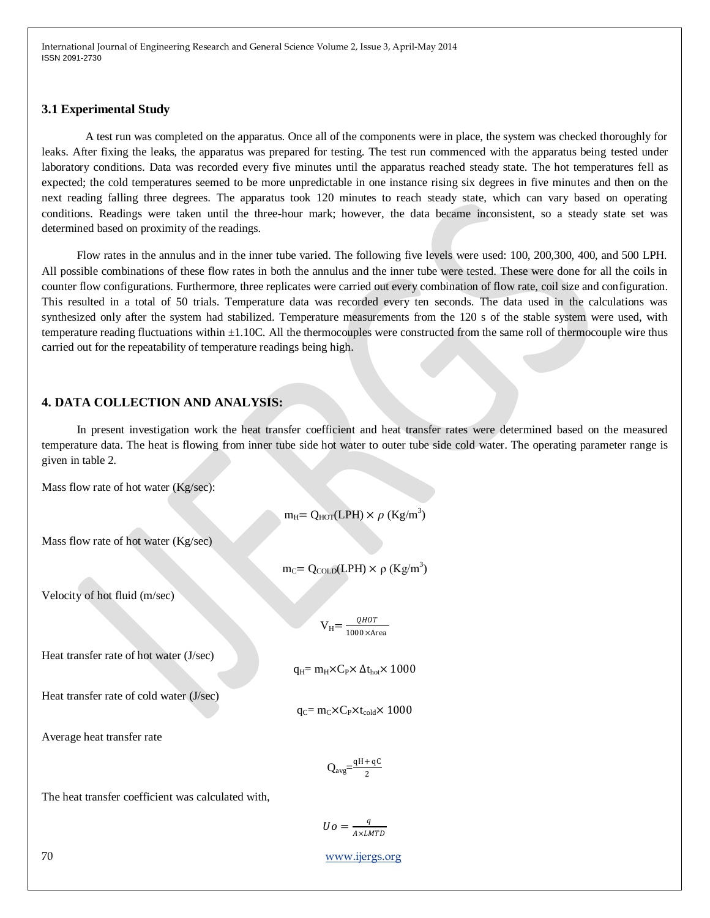#### **3.1 Experimental Study**

 A test run was completed on the apparatus. Once all of the components were in place, the system was checked thoroughly for leaks. After fixing the leaks, the apparatus was prepared for testing. The test run commenced with the apparatus being tested under laboratory conditions. Data was recorded every five minutes until the apparatus reached steady state. The hot temperatures fell as expected; the cold temperatures seemed to be more unpredictable in one instance rising six degrees in five minutes and then on the next reading falling three degrees. The apparatus took 120 minutes to reach steady state, which can vary based on operating conditions. Readings were taken until the three-hour mark; however, the data became inconsistent, so a steady state set was determined based on proximity of the readings.

 Flow rates in the annulus and in the inner tube varied. The following five levels were used: 100, 200,300, 400, and 500 LPH. All possible combinations of these flow rates in both the annulus and the inner tube were tested. These were done for all the coils in counter flow configurations. Furthermore, three replicates were carried out every combination of flow rate, coil size and configuration. This resulted in a total of 50 trials. Temperature data was recorded every ten seconds. The data used in the calculations was synthesized only after the system had stabilized. Temperature measurements from the 120 s of the stable system were used, with temperature reading fluctuations within ±1.10C. All the thermocouples were constructed from the same roll of thermocouple wire thus carried out for the repeatability of temperature readings being high.

## **4. DATA COLLECTION AND ANALYSIS:**

 In present investigation work the heat transfer coefficient and heat transfer rates were determined based on the measured temperature data. The heat is flowing from inner tube side hot water to outer tube side cold water. The operating parameter range is given in table 2.

Mass flow rate of hot water (Kg/sec):

 $m_H = Q_{HOT}(LPH) \times \rho (Kg/m^3)$ 

Mass flow rate of hot water (Kg/sec)

 $m_C = Q_{\text{COLD}}(LPH) \times \rho (Kg/m^3)$ 

Velocity of hot fluid (m/sec)

 $V_H = \frac{QHOT}{1000 \times \Delta}$ 1000×Area

Heat transfer rate of hot water (J/sec)

 $q_H = m_H \times C_P \times \Delta t_{hot} \times 1000$ 

Heat transfer rate of cold water (J/sec)

 $q_C = m_C \times C_P \times t_{cold} \times 1000$ 

Average heat transfer rate

$$
Q_{avg}\!\!=\!\!\frac{qH\!+qC}{2}
$$

The heat transfer coefficient was calculated with,

 $Uo = \frac{q}{1+u}$ A×LMTD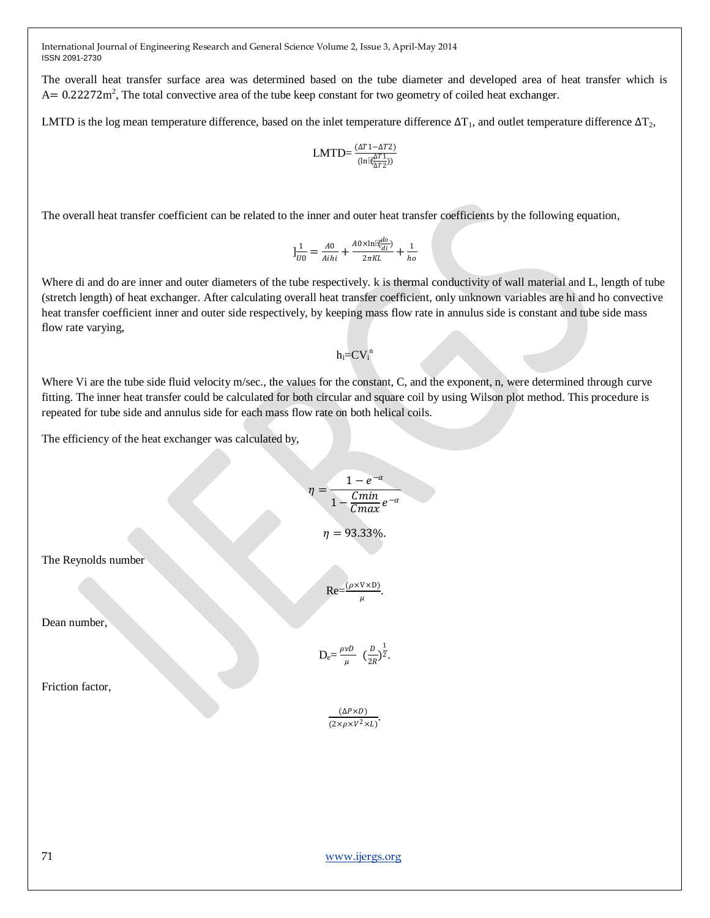The overall heat transfer surface area was determined based on the tube diameter and developed area of heat transfer which is  $A = 0.22272$  m<sup>2</sup>, The total convective area of the tube keep constant for two geometry of coiled heat exchanger.

LMTD is the log mean temperature difference, based on the inlet temperature difference  $\Delta T_1$ , and outlet temperature difference  $\Delta T_2$ ,

$$
LMTD{=}\frac{(\Delta T1{-}\Delta T2)}{(\ln\mathbb{E}^{AT1}_{\Delta T2}))}
$$

The overall heat transfer coefficient can be related to the inner and outer heat transfer coefficients by the following equation,

$$
]\frac{1}{U0} = \frac{A0}{Aihi} + \frac{A0 \times \ln[\overline{R}\frac{d0}{di}]}{2\pi KL} + \frac{1}{ho}
$$

Where di and do are inner and outer diameters of the tube respectively. k is thermal conductivity of wall material and L, length of tube (stretch length) of heat exchanger. After calculating overall heat transfer coefficient, only unknown variables are hi and ho convective heat transfer coefficient inner and outer side respectively, by keeping mass flow rate in annulus side is constant and tube side mass flow rate varying,

$$
h_i = CV_i^{\,n}
$$

Where Vi are the tube side fluid velocity m/sec., the values for the constant, C, and the exponent, n, were determined through curve fitting. The inner heat transfer could be calculated for both circular and square coil by using Wilson plot method. This procedure is repeated for tube side and annulus side for each mass flow rate on both helical coils.

The efficiency of the heat exchanger was calculated by,

$$
\eta = \frac{1 - e^{-\alpha}}{1 - \frac{Cmin}{Cmax} e^{-\alpha}}
$$

$$
\eta = 93.33\%.
$$

$$
\text{Re} = \frac{(\rho \times V \times D)}{\mu}.
$$

$$
D_e = \frac{\rho v D}{\mu} \left(\frac{D}{2R}\right)^{\frac{1}{2}}.
$$

$$
\frac{(\Delta P \times D)}{(2 \times \rho \times V^2 \times L)}.
$$

Friction factor,

Dean number,

The Reynolds number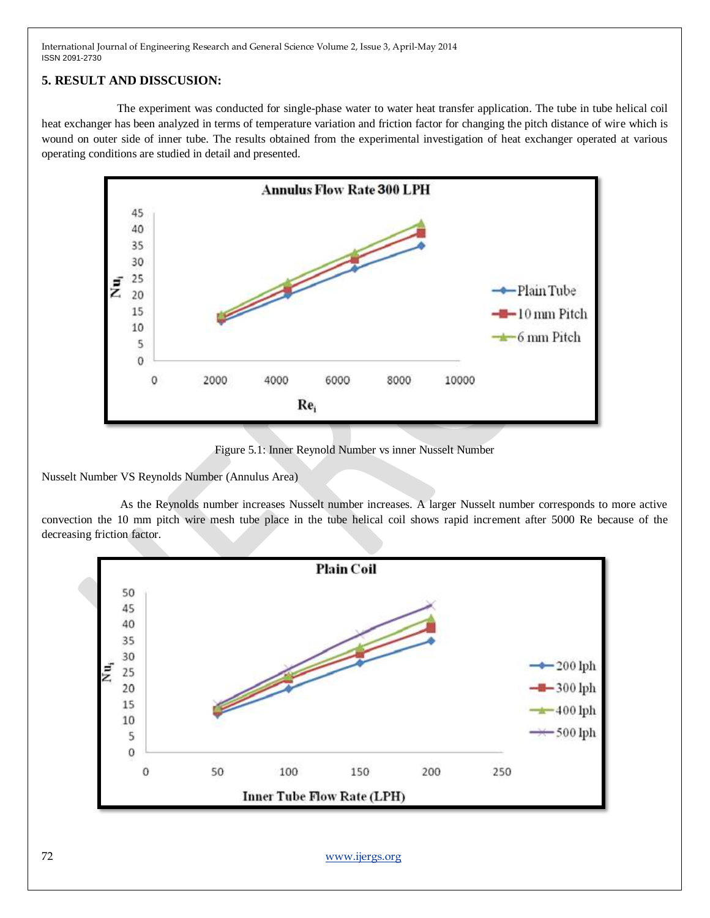# **5. RESULT AND DISSCUSION:**

 The experiment was conducted for single-phase water to water heat transfer application. The tube in tube helical coil heat exchanger has been analyzed in terms of temperature variation and friction factor for changing the pitch distance of wire which is wound on outer side of inner tube. The results obtained from the experimental investigation of heat exchanger operated at various operating conditions are studied in detail and presented.



Figure 5.1: Inner Reynold Number vs inner Nusselt Number

Nusselt Number VS Reynolds Number (Annulus Area)

 As the Reynolds number increases Nusselt number increases. A larger Nusselt number corresponds to more active convection the 10 mm pitch wire mesh tube place in the tube helical coil shows rapid increment after 5000 Re because of the decreasing friction factor.



72 [www.ijergs.org](http://www.ijergs.org/)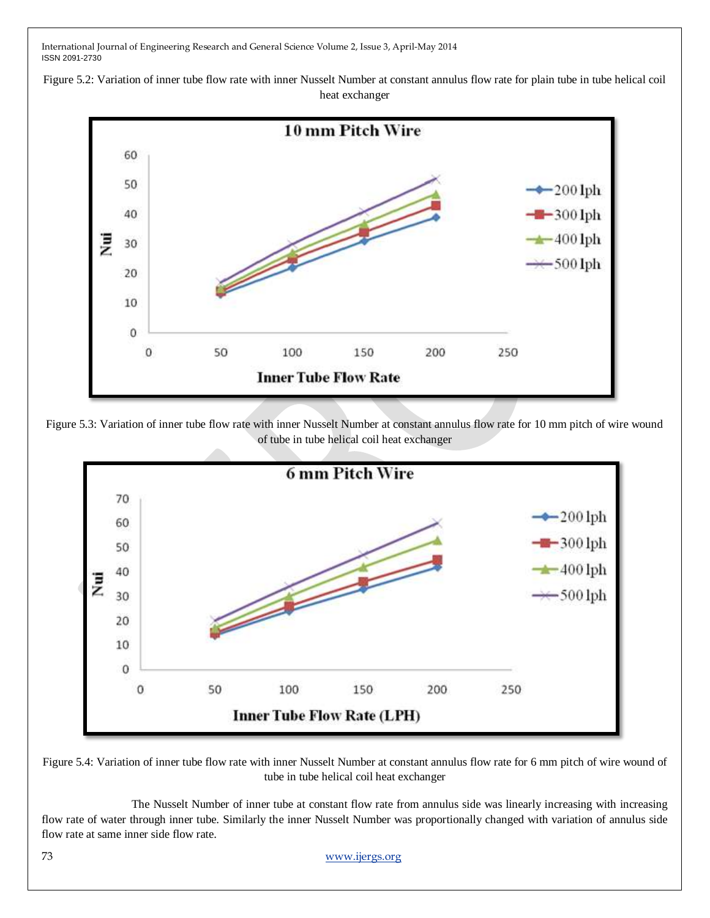Figure 5.2: Variation of inner tube flow rate with inner Nusselt Number at constant annulus flow rate for plain tube in tube helical coil heat exchanger



Figure 5.3: Variation of inner tube flow rate with inner Nusselt Number at constant annulus flow rate for 10 mm pitch of wire wound of tube in tube helical coil heat exchanger



Figure 5.4: Variation of inner tube flow rate with inner Nusselt Number at constant annulus flow rate for 6 mm pitch of wire wound of tube in tube helical coil heat exchanger

 The Nusselt Number of inner tube at constant flow rate from annulus side was linearly increasing with increasing flow rate of water through inner tube. Similarly the inner Nusselt Number was proportionally changed with variation of annulus side flow rate at same inner side flow rate.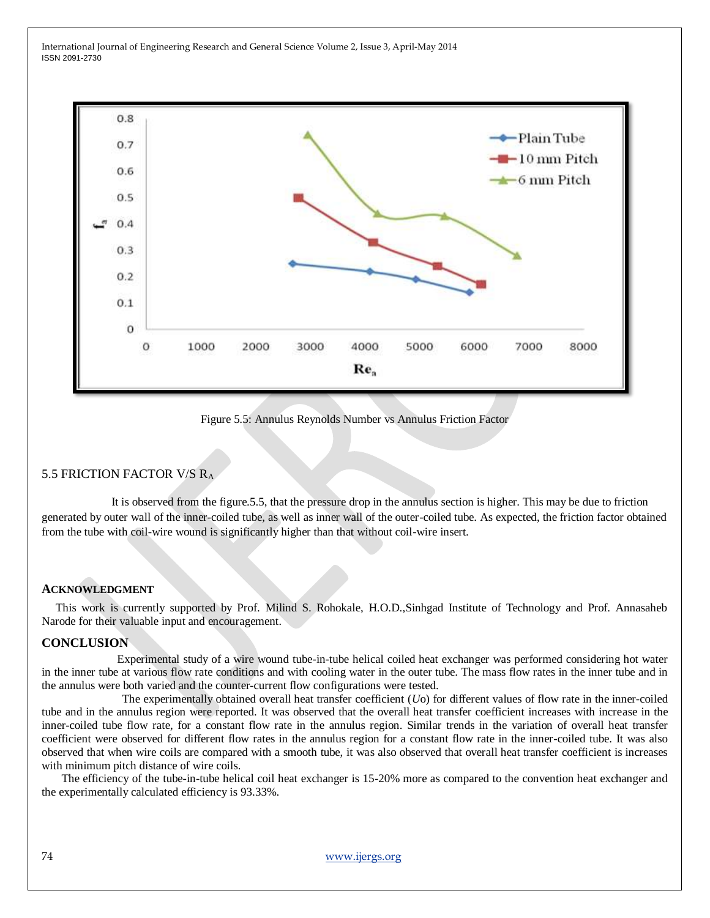

Figure 5.5: Annulus Reynolds Number vs Annulus Friction Factor

#### 5.5 FRICTION FACTOR V/S R<sup>A</sup>

 It is observed from the figure.5.5, that the pressure drop in the annulus section is higher. This may be due to friction generated by outer wall of the inner-coiled tube, as well as inner wall of the outer-coiled tube. As expected, the friction factor obtained from the tube with coil-wire wound is significantly higher than that without coil-wire insert.

#### **ACKNOWLEDGMENT**

This work is currently supported by Prof. Milind S. Rohokale, H.O.D.,Sinhgad Institute of Technology and Prof. Annasaheb Narode for their valuable input and encouragement.

#### **CONCLUSION**

 Experimental study of a wire wound tube-in-tube helical coiled heat exchanger was performed considering hot water in the inner tube at various flow rate conditions and with cooling water in the outer tube. The mass flow rates in the inner tube and in the annulus were both varied and the counter-current flow configurations were tested.

 The experimentally obtained overall heat transfer coefficient (*U*o) for different values of flow rate in the inner-coiled tube and in the annulus region were reported. It was observed that the overall heat transfer coefficient increases with increase in the inner-coiled tube flow rate, for a constant flow rate in the annulus region. Similar trends in the variation of overall heat transfer coefficient were observed for different flow rates in the annulus region for a constant flow rate in the inner-coiled tube. It was also observed that when wire coils are compared with a smooth tube, it was also observed that overall heat transfer coefficient is increases with minimum pitch distance of wire coils.

 The efficiency of the tube-in-tube helical coil heat exchanger is 15-20% more as compared to the convention heat exchanger and the experimentally calculated efficiency is 93.33%.